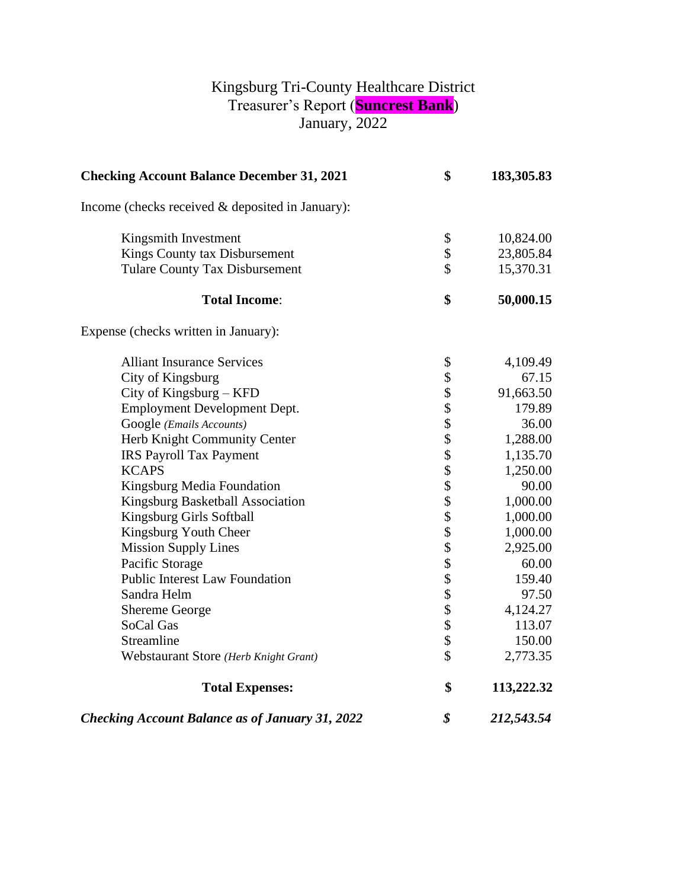## Kingsburg Tri-County Healthcare District Treasurer's Report (**Suncrest Bank**) January, 2022

| <b>Checking Account Balance December 31, 2021</b>      | \$<br>183,305.83 |
|--------------------------------------------------------|------------------|
| Income (checks received & deposited in January):       |                  |
| Kingsmith Investment                                   | \$<br>10,824.00  |
| Kings County tax Disbursement                          | \$<br>23,805.84  |
| <b>Tulare County Tax Disbursement</b>                  | \$<br>15,370.31  |
| <b>Total Income:</b>                                   | \$<br>50,000.15  |
| Expense (checks written in January):                   |                  |
| <b>Alliant Insurance Services</b>                      | \$<br>4,109.49   |
| City of Kingsburg                                      | 67.15            |
| City of Kingsburg $-$ KFD                              | 91,663.50        |
| Employment Development Dept.                           | 179.89           |
| Google (Emails Accounts)                               | 36.00            |
| Herb Knight Community Center                           | 1,288.00         |
| <b>IRS Payroll Tax Payment</b>                         | 1,135.70         |
| <b>KCAPS</b>                                           | 1,250.00         |
| Kingsburg Media Foundation                             | 90.00            |
| Kingsburg Basketball Association                       | 1,000.00         |
| Kingsburg Girls Softball                               | 1,000.00         |
| Kingsburg Youth Cheer                                  | 1,000.00         |
| <b>Mission Supply Lines</b>                            | 2,925.00         |
| Pacific Storage                                        | 60.00            |
| <b>Public Interest Law Foundation</b>                  | 159.40           |
| Sandra Helm                                            | 97.50            |
| <b>Shereme George</b>                                  | 4,124.27         |
| SoCal Gas                                              | 113.07           |
| Streamline                                             | 150.00           |
| Webstaurant Store (Herb Knight Grant)                  | \$<br>2,773.35   |
| <b>Total Expenses:</b>                                 | \$<br>113,222.32 |
| <b>Checking Account Balance as of January 31, 2022</b> | \$<br>212,543.54 |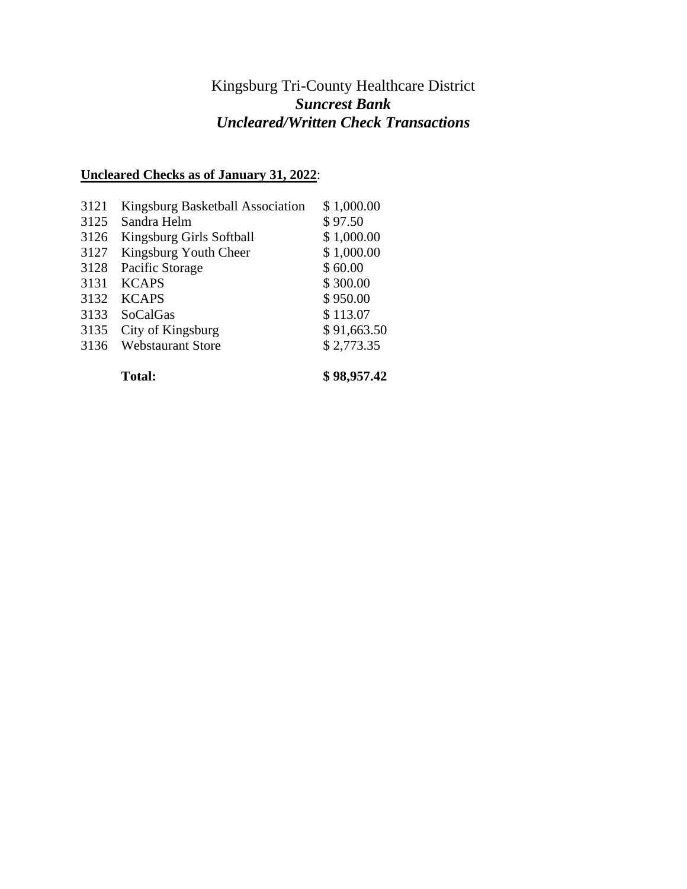## Kingsburg Tri-County Healthcare District *Suncrest Bank Uncleared/Written Check Transactions*

## **Uncleared Checks as of January 31, 2022**:

|      | <b>Total:</b>                    | \$98,957.42 |
|------|----------------------------------|-------------|
| 3136 | <b>Webstaurant Store</b>         | \$2,773.35  |
| 3135 | City of Kingsburg                | \$91,663.50 |
| 3133 | SoCalGas                         | \$113.07    |
| 3132 | <b>KCAPS</b>                     | \$950.00    |
| 3131 | <b>KCAPS</b>                     | \$300.00    |
| 3128 | Pacific Storage                  | \$60.00     |
| 3127 | Kingsburg Youth Cheer            | \$1,000.00  |
| 3126 | Kingsburg Girls Softball         | \$1,000.00  |
| 3125 | Sandra Helm                      | \$97.50     |
| 3121 | Kingsburg Basketball Association | \$1,000.00  |